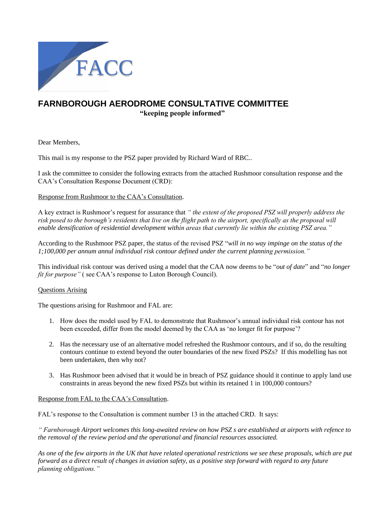

# **FARNBOROUGH AERODROME CONSULTATIVE COMMITTEE "keeping people informed"**

Dear Members,

This mail is my response to the PSZ paper provided by Richard Ward of RBC..

I ask the committee to consider the following extracts from the attached Rushmoor consultation response and the CAA's Consultation Response Document (CRD):

## Response from Rushmoor to the CAA's Consultation.

A key extract is Rushmoor's request for assurance that *" the extent of the proposed PSZ will properly address the*  risk posed to the borough's residents that live on the flight path to the airport, specifically as the proposal will *enable densification of residential development within areas that currently lie within the existing PSZ area."* 

According to the Rushmoor PSZ paper*,* the status of the revised PSZ "*will in no way impinge on the status of the 1;100,000 per annum annul individual risk contour defined under the current planning permission."*

This individual risk contour was derived using a model that the CAA now deems to be "*out of date*" and "*no longer fit for purpose"* ( see CAA's response to Luton Borough Council).

### Questions Arising

The questions arising for Rushmoor and FAL are:

- 1. How does the model used by FAL to demonstrate that Rushmoor's annual individual risk contour has not been exceeded, differ from the model deemed by the CAA as 'no longer fit for purpose'?
- 2. Has the necessary use of an alternative model refreshed the Rushmoor contours, and if so, do the resulting contours continue to extend beyond the outer boundaries of the new fixed PSZs? If this modelling has not been undertaken, then why not?
- 3. Has Rushmoor been advised that it would be in breach of PSZ guidance should it continue to apply land use constraints in areas beyond the new fixed PSZs but within its retained 1 in 100,000 contours?

### Response from FAL to the CAA's Consultation.

FAL's response to the Consultation is comment number 13 in the attached CRD. It says:

*" Farnborough Airport welcomes this long-awaited review on how PSZ s are established at airports with refence to the removal of the review period and the operational and financial resources associated.*

*As one of the few airports in the UK that have related operational restrictions we see these proposals, which are put forward as a direct result of changes in aviation safety, as a positive step forward with regard to any future planning obligations."*